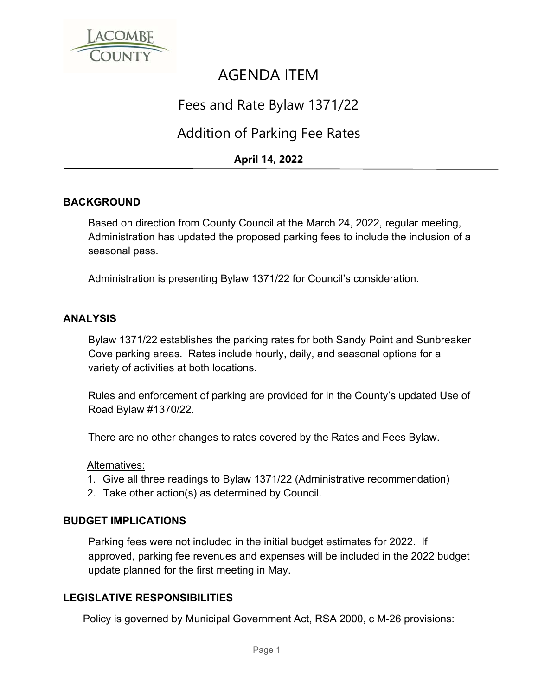

# AGENDA ITEM

## Fees and Rate Bylaw 1371/22

### Addition of Parking Fee Rates

### **April 14, 2022**

#### **BACKGROUND**

Based on direction from County Council at the March 24, 2022, regular meeting, Administration has updated the proposed parking fees to include the inclusion of a seasonal pass.

Administration is presenting Bylaw 1371/22 for Council's consideration.

#### **ANALYSIS**

Bylaw 1371/22 establishes the parking rates for both Sandy Point and Sunbreaker Cove parking areas. Rates include hourly, daily, and seasonal options for a variety of activities at both locations.

Rules and enforcement of parking are provided for in the County's updated Use of Road Bylaw #1370/22.

There are no other changes to rates covered by the Rates and Fees Bylaw.

#### Alternatives:

- 1. Give all three readings to Bylaw 1371/22 (Administrative recommendation)
- 2. Take other action(s) as determined by Council.

#### **BUDGET IMPLICATIONS**

Parking fees were not included in the initial budget estimates for 2022. If approved, parking fee revenues and expenses will be included in the 2022 budget update planned for the first meeting in May.

#### **LEGISLATIVE RESPONSIBILITIES**

Policy is governed by Municipal Government Act, RSA 2000, c M-26 provisions: